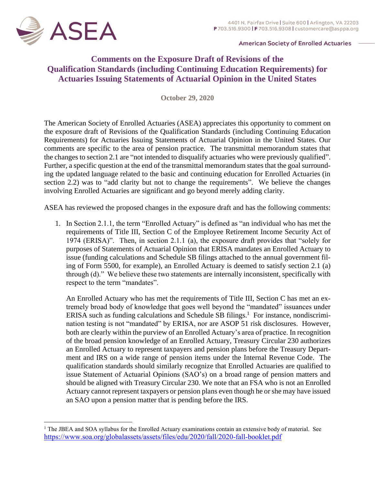

**American Society of Enrolled Actuaries** 

## **Comments on the Exposure Draft of Revisions of the Qualification Standards (including Continuing Education Requirements) for Actuaries Issuing Statements of Actuarial Opinion in the United States**

**October 29, 2020** 

The American Society of Enrolled Actuaries (ASEA) appreciates this opportunity to comment on the exposure draft of Revisions of the Qualification Standards (including Continuing Education Requirements) for Actuaries Issuing Statements of Actuarial Opinion in the United States*.* Our comments are specific to the area of pension practice. The transmittal memorandum states that the changes to section 2.1 are "not intended to disqualify actuaries who were previously qualified". Further, a specific question at the end of the transmittal memorandum states that the goal surrounding the updated language related to the basic and continuing education for Enrolled Actuaries (in section 2.2) was to "add clarity but not to change the requirements". We believe the changes involving Enrolled Actuaries are significant and go beyond merely adding clarity.

ASEA has reviewed the proposed changes in the exposure draft and has the following comments:

1. In Section 2.1.1, the term "Enrolled Actuary" is defined as "an individual who has met the requirements of Title III, Section C of the Employee Retirement Income Security Act of 1974 (ERISA)". Then, in section 2.1.1 (a), the exposure draft provides that "solely for purposes of Statements of Actuarial Opinion that ERISA mandates an Enrolled Actuary to issue (funding calculations and Schedule SB filings attached to the annual government filing of Form 5500, for example), an Enrolled Actuary is deemed to satisfy section 2.1 (a) through (d)." We believe these two statements are internally inconsistent, specifically with respect to the term "mandates".

An Enrolled Actuary who has met the requirements of Title III, Section C has met an extremely broad body of knowledge that goes well beyond the "mandated" issuances under ERISA such as funding calculations and Schedule SB filings.<sup>1</sup> For instance, nondiscrimination testing is not "mandated" by ERISA, nor are ASOP 51 risk disclosures. However, both are clearly within the purview of an Enrolled Actuary's area of practice. In recognition of the broad pension knowledge of an Enrolled Actuary, Treasury Circular 230 authorizes an Enrolled Actuary to represent taxpayers and pension plans before the Treasury Department and IRS on a wide range of pension items under the Internal Revenue Code. The qualification standards should similarly recognize that Enrolled Actuaries are qualified to issue Statement of Actuarial Opinions (SAO's) on a broad range of pension matters and should be aligned with Treasury Circular 230. We note that an FSA who is not an Enrolled Actuary cannot represent taxpayers or pension plans even though he or she may have issued an SAO upon a pension matter that is pending before the IRS.

<sup>&</sup>lt;sup>1</sup> The JBEA and SOA syllabus for the Enrolled Actuary examinations contain an extensive body of material. See <https://www.soa.org/globalassets/assets/files/edu/2020/fall/2020-fall-booklet.pdf>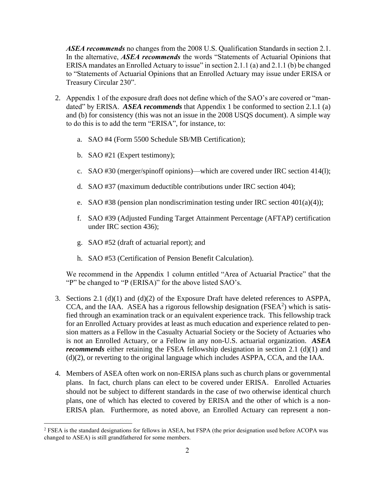*ASEA recommends* no changes from the 2008 U.S. Qualification Standards in section 2.1. In the alternative, *ASEA recommends* the words "Statements of Actuarial Opinions that ERISA mandates an Enrolled Actuary to issue" in section 2.1.1 (a) and 2.1.1 (b) be changed to "Statements of Actuarial Opinions that an Enrolled Actuary may issue under ERISA or Treasury Circular 230".

- 2. Appendix 1 of the exposure draft does not define which of the SAO's are covered or "mandated" by ERISA. *ASEA recommends* that Appendix 1 be conformed to section 2.1.1 (a) and (b) for consistency (this was not an issue in the 2008 USQS document). A simple way to do this is to add the term "ERISA", for instance, to:
	- a. SAO #4 (Form 5500 Schedule SB/MB Certification);
	- b. SAO #21 (Expert testimony);
	- c. SAO #30 (merger/spinoff opinions)—which are covered under IRC section 414(l);
	- d. SAO #37 (maximum deductible contributions under IRC section 404);
	- e. SAO #38 (pension plan nondiscrimination testing under IRC section  $401(a)(4)$ );
	- f. SAO #39 (Adjusted Funding Target Attainment Percentage (AFTAP) certification under IRC section 436);
	- g. SAO #52 (draft of actuarial report); and
	- h. SAO #53 (Certification of Pension Benefit Calculation).

We recommend in the Appendix 1 column entitled "Area of Actuarial Practice" that the "P" be changed to "P (ERISA)" for the above listed SAO's.

- 3. Sections 2.1 (d)(1) and (d)(2) of the Exposure Draft have deleted references to ASPPA, CCA, and the IAA. ASEA has a rigorous fellowship designation ( $FSEA<sup>2</sup>$ ) which is satisfied through an examination track or an equivalent experience track. This fellowship track for an Enrolled Actuary provides at least as much education and experience related to pension matters as a Fellow in the Casualty Actuarial Society or the Society of Actuaries who is not an Enrolled Actuary, or a Fellow in any non-U.S. actuarial organization. *ASEA recommends* either retaining the FSEA fellowship designation in section 2.1 (d)(1) and (d)(2), or reverting to the original language which includes ASPPA, CCA, and the IAA.
- 4. Members of ASEA often work on non-ERISA plans such as church plans or governmental plans. In fact, church plans can elect to be covered under ERISA. Enrolled Actuaries should not be subject to different standards in the case of two otherwise identical church plans, one of which has elected to covered by ERISA and the other of which is a non-ERISA plan. Furthermore, as noted above, an Enrolled Actuary can represent a non-

<sup>2</sup> FSEA is the standard designations for fellows in ASEA, but FSPA (the prior designation used before ACOPA was changed to ASEA) is still grandfathered for some members.